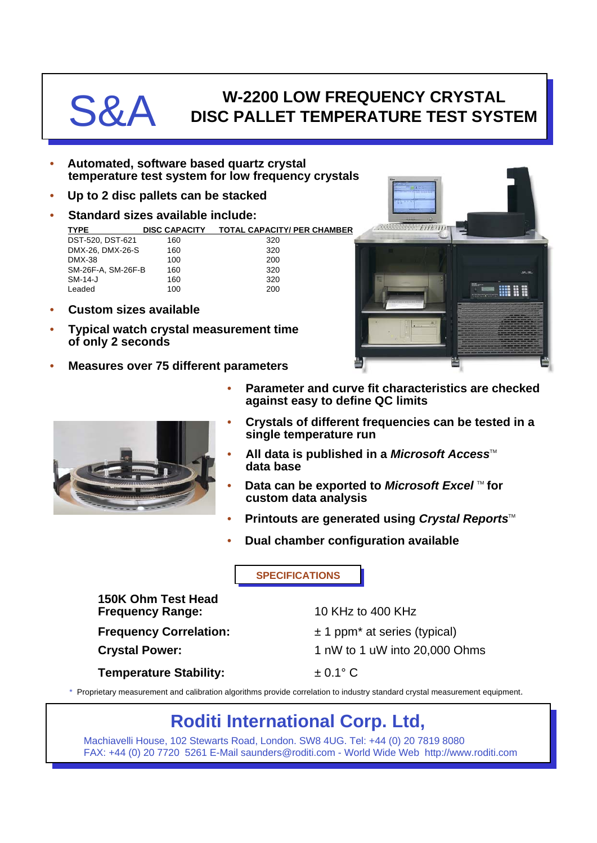## **S&A W-2200 LOW FREQUENCY CRYSTAL**<br>DISC PALLET TEMPERATURE TEST SYS **DISC PALLET TEMPERATURE TEST SYSTEM**

- **Automated, software based quartz crystal temperature test system for low frequency crystals**
- **Up to 2 disc pallets can be stacked**
- **Standard sizes available include:**

| <b>TYPE</b>        | <b>DISC CAPACITY</b> | <b>TOTAL CAPACITY/ PER CHAMBER</b> |
|--------------------|----------------------|------------------------------------|
| DST-520, DST-621   | 160                  | 320                                |
| DMX-26, DMX-26-S   | 160                  | 320                                |
| DMX-38             | 100                  | 200                                |
| SM-26F-A, SM-26F-B | 160                  | 320                                |
| $SM-14-J$          | 160                  | 320                                |
| Leaded             | 100                  | 200                                |
|                    |                      |                                    |

- **Custom sizes available**
- **Typical watch crystal measurement time of only 2 seconds**
- **Measures over 75 different parameters**





- **Parameter and curve fit characteristics are checked against easy to define QC limits**
- **Crystals of different frequencies can be tested in a single temperature run**
- **All data is published in a** *Microsoft Access***<sup>™</sup> data base**
- **Data can be exported to** *Microsoft Excel* **™ for custom data analysis**
- **Printouts are generated using Crystal Reports™**
- **Dual chamber configuration available**

**SPECIFICATIONS**

**150K Ohm Test Head Frequency Range:** 10 KHz to 400 KHz

**Frequency Correlation:**  $\pm 1$  ppm<sup>\*</sup> at series (typical) **Crystal Power:** 1 nW to 1 uW into 20,000 Ohms

**Temperature Stability:**  $\qquad \qquad \pm 0.1^{\circ} \text{ C}$ 

\* Proprietary measurement and calibration algorithms provide correlation to industry standard crystal measurement equipment.

## **Roditi International Corp. Ltd,**

Machiavelli House, 102 Stewarts Road, London. SW8 4UG. Tel: +44 (0) 20 7819 8080 FAX: +44 (0) 20 7720 5261 E-Mail saunders@roditi.com - World Wide Web http://www.roditi.com